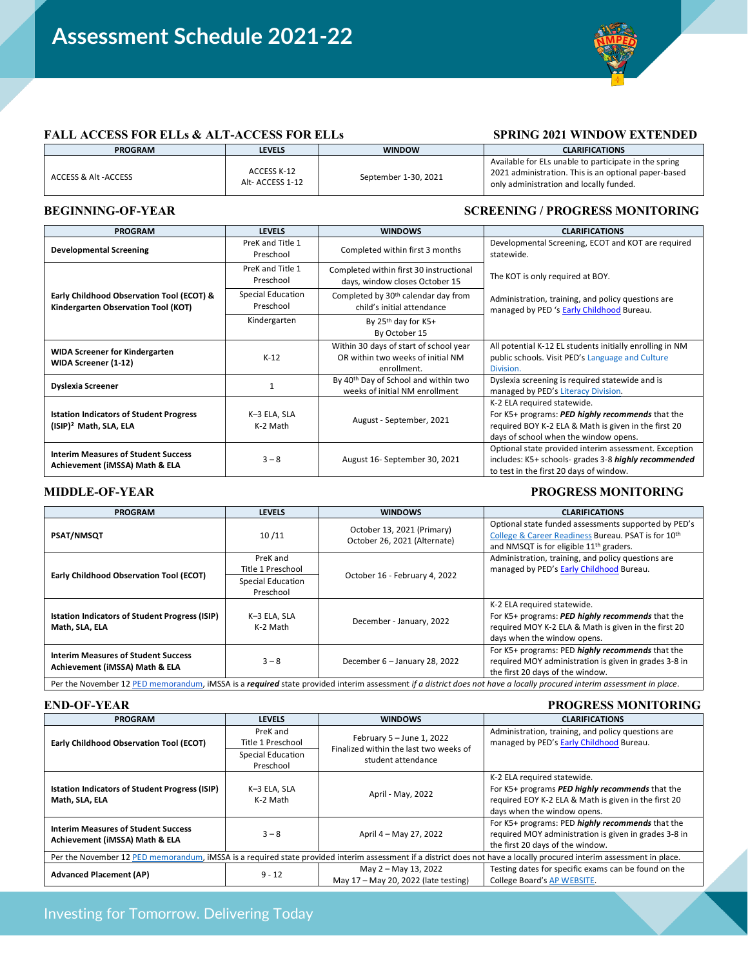Assessment Schedule 8.13.2021



## FALL ACCESS FOR ELLs & ALT-ACCESS FOR ELLs SPRING 2021 WINDOW EXTENDED

| <b>PROGRAM</b>       | LEVELS                          | <b>WINDOW</b>        | <b>CLARIFICATIONS</b>                                                                                                                                    |
|----------------------|---------------------------------|----------------------|----------------------------------------------------------------------------------------------------------------------------------------------------------|
| ACCESS & Alt -ACCESS | ACCESS K-12<br>Alt- ACCESS 1-12 | September 1-30, 2021 | Available for ELs unable to participate in the spring<br>2021 administration. This is an optional paper-based<br>only administration and locally funded. |

### **BEGINNING-OF-YEAR SCREENING / PROGRESS MONITORING**

| <b>PROGRAM</b>                                                                       | <b>LEVELS</b>                  | <b>WINDOWS</b>                                                                             | <b>CLARIFICATIONS</b>                                                                                                                                                            |  |
|--------------------------------------------------------------------------------------|--------------------------------|--------------------------------------------------------------------------------------------|----------------------------------------------------------------------------------------------------------------------------------------------------------------------------------|--|
| <b>Developmental Screening</b>                                                       | PreK and Title 1<br>Preschool  | Completed within first 3 months                                                            | Developmental Screening, ECOT and KOT are required<br>statewide.                                                                                                                 |  |
|                                                                                      | PreK and Title 1<br>Preschool  | Completed within first 30 instructional<br>days, window closes October 15                  | The KOT is only required at BOY.                                                                                                                                                 |  |
| Early Childhood Observation Tool (ECOT) &<br>Kindergarten Observation Tool (KOT)     | Special Education<br>Preschool | Completed by 30 <sup>th</sup> calendar day from<br>child's initial attendance              | Administration, training, and policy questions are<br>managed by PED 's Early Childhood Bureau.                                                                                  |  |
|                                                                                      | Kindergarten                   | By $25th$ day for K5+<br>By October 15                                                     |                                                                                                                                                                                  |  |
| <b>WIDA Screener for Kindergarten</b><br>WIDA Screener (1-12)                        | $K-12$                         | Within 30 days of start of school year<br>OR within two weeks of initial NM<br>enrollment. | All potential K-12 EL students initially enrolling in NM<br>public schools. Visit PED's Language and Culture<br>Division.                                                        |  |
| <b>Dyslexia Screener</b>                                                             |                                | By 40 <sup>th</sup> Day of School and within two<br>weeks of initial NM enrollment         | Dyslexia screening is required statewide and is<br>managed by PED's Literacy Division.                                                                                           |  |
| <b>Istation Indicators of Student Progress</b><br>(ISIP) <sup>2</sup> Math, SLA, ELA | K-3 ELA, SLA<br>K-2 Math       | August - September, 2021                                                                   | K-2 ELA required statewide.<br>For K5+ programs: PED highly recommends that the<br>required BOY K-2 ELA & Math is given in the first 20<br>days of school when the window opens. |  |
| <b>Interim Measures of Student Success</b><br>Achievement (iMSSA) Math & ELA         | $3 - 8$                        | August 16- September 30, 2021                                                              | Optional state provided interim assessment. Exception<br>includes: K5+ schools- grades 3-8 highly recommended<br>to test in the first 20 days of window.                         |  |

### **MIDDLE-OF-YEAR PROGRESS MONITORING**

| <b>PROGRAM</b>                                                                                                                                                        | <b>LEVELS</b>                                                   | <b>WINDOWS</b>                                             | <b>CLARIFICATIONS</b>                                                                                                                                                  |
|-----------------------------------------------------------------------------------------------------------------------------------------------------------------------|-----------------------------------------------------------------|------------------------------------------------------------|------------------------------------------------------------------------------------------------------------------------------------------------------------------------|
| <b>PSAT/NMSQT</b>                                                                                                                                                     | 10/11                                                           | October 13, 2021 (Primary)<br>October 26, 2021 (Alternate) | Optional state funded assessments supported by PED's<br>College & Career Readiness Bureau. PSAT is for 10th<br>and NMSQT is for eligible 11 <sup>th</sup> graders.     |
| <b>Early Childhood Observation Tool (ECOT)</b>                                                                                                                        | PreK and<br>Title 1 Preschool<br>Special Education<br>Preschool | October 16 - February 4, 2022                              | Administration, training, and policy questions are<br>managed by PED's Early Childhood Bureau.                                                                         |
| <b>Istation Indicators of Student Progress (ISIP)</b><br>Math, SLA, ELA                                                                                               | K-3 ELA, SLA<br>K-2 Math                                        | December - January, 2022                                   | K-2 ELA required statewide.<br>For K5+ programs: PED highly recommends that the<br>required MOY K-2 ELA & Math is given in the first 20<br>days when the window opens. |
| <b>Interim Measures of Student Success</b><br>Achievement (iMSSA) Math & ELA                                                                                          | $3 - 8$                                                         | December 6 - January 28, 2022                              | For K5+ programs: PED highly recommends that the<br>required MOY administration is given in grades 3-8 in<br>the first 20 days of the window.                          |
| Per the November 12 PED memorandum, iMSSA is a required state provided interim assessment if a district does not have a locally procured interim assessment in place. |                                                                 |                                                            |                                                                                                                                                                        |

### **END-OF-YEAR PROGRESS MONITORING**

| <b>PROGRAM</b>                                                                                                                                                        | <b>LEVELS</b>                                                   | <b>WINDOWS</b>                                                                              | <b>CLARIFICATIONS</b>                                                                                                                                                 |  |
|-----------------------------------------------------------------------------------------------------------------------------------------------------------------------|-----------------------------------------------------------------|---------------------------------------------------------------------------------------------|-----------------------------------------------------------------------------------------------------------------------------------------------------------------------|--|
| Early Childhood Observation Tool (ECOT)                                                                                                                               | PreK and<br>Title 1 Preschool<br>Special Education<br>Preschool | February $5 -$ June 1, 2022<br>Finalized within the last two weeks of<br>student attendance | Administration, training, and policy questions are<br>managed by PED's Early Childhood Bureau.                                                                        |  |
| <b>Istation Indicators of Student Progress (ISIP)</b><br>Math, SLA, ELA                                                                                               | K-3 ELA, SLA<br>K-2 Math                                        | April - May, 2022                                                                           | K-2 ELA required statewide.<br>For K5+ programs PED highly recommends that the<br>required EOY K-2 ELA & Math is given in the first 20<br>days when the window opens. |  |
| <b>Interim Measures of Student Success</b><br>Achievement (iMSSA) Math & ELA                                                                                          | $3 - 8$                                                         | April 4 - May 27, 2022                                                                      | For K5+ programs: PED highly recommends that the<br>required MOY administration is given in grades 3-8 in<br>the first 20 days of the window.                         |  |
| Per the November 12 PED memorandum, iMSSA is a required state provided interim assessment if a district does not have a locally procured interim assessment in place. |                                                                 |                                                                                             |                                                                                                                                                                       |  |
| <b>Advanced Placement (AP)</b>                                                                                                                                        | $9 - 12$                                                        | May 2 - May 13, 2022<br>May 17 - May 20, 2022 (late testing)                                | Testing dates for specific exams can be found on the<br>College Board's AP WEBSITE.                                                                                   |  |